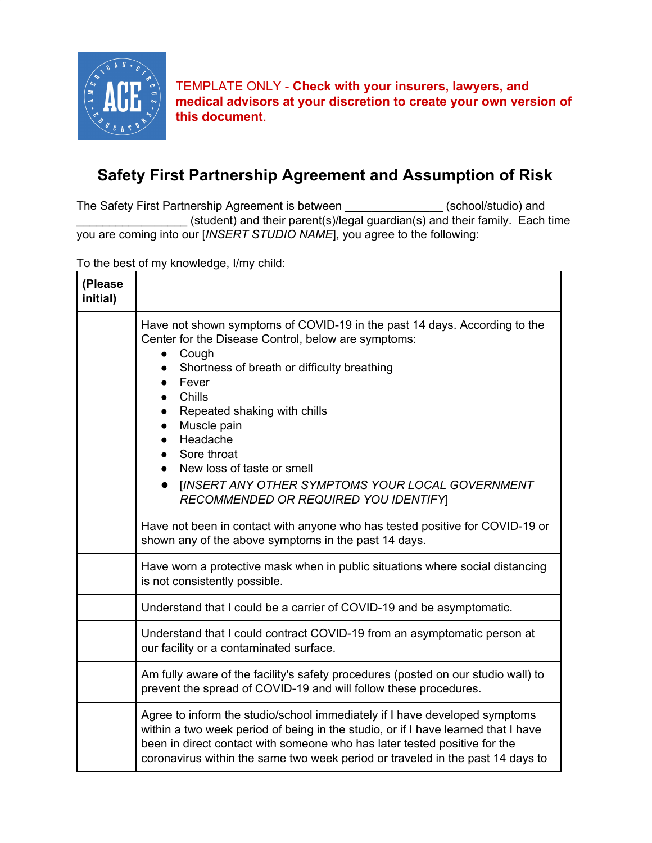

TEMPLATE ONLY - **Check with your insurers, lawyers, and medical advisors at your discretion to create your own version of this document**.

## **Safety First Partnership Agreement and Assumption of Risk**

The Safety First Partnership Agreement is between \_\_\_\_\_\_\_\_\_\_\_\_\_\_\_ (school/studio) and \_\_\_\_\_\_\_\_\_\_\_\_\_\_\_\_\_ (student) and their parent(s)/legal guardian(s) and their family. Each time you are coming into our [*INSERT STUDIO NAME*], you agree to the following:

To the best of my knowledge, I/my child:

| (Please<br>initial) |                                                                                                                                                                                                                                                                                                                                                                                                                                                                                         |
|---------------------|-----------------------------------------------------------------------------------------------------------------------------------------------------------------------------------------------------------------------------------------------------------------------------------------------------------------------------------------------------------------------------------------------------------------------------------------------------------------------------------------|
|                     | Have not shown symptoms of COVID-19 in the past 14 days. According to the<br>Center for the Disease Control, below are symptoms:<br>Cough<br>$\bullet$<br>Shortness of breath or difficulty breathing<br>Fever<br>$\bullet$<br>Chills<br>Repeated shaking with chills<br>Muscle pain<br>$\bullet$<br>Headache<br>$\bullet$<br>Sore throat<br>New loss of taste or smell<br>$\bullet$<br><b>IINSERT ANY OTHER SYMPTOMS YOUR LOCAL GOVERNMENT</b><br>RECOMMENDED OR REQUIRED YOU IDENTIFY |
|                     | Have not been in contact with anyone who has tested positive for COVID-19 or<br>shown any of the above symptoms in the past 14 days.                                                                                                                                                                                                                                                                                                                                                    |
|                     | Have worn a protective mask when in public situations where social distancing<br>is not consistently possible.                                                                                                                                                                                                                                                                                                                                                                          |
|                     | Understand that I could be a carrier of COVID-19 and be asymptomatic.                                                                                                                                                                                                                                                                                                                                                                                                                   |
|                     | Understand that I could contract COVID-19 from an asymptomatic person at<br>our facility or a contaminated surface.                                                                                                                                                                                                                                                                                                                                                                     |
|                     | Am fully aware of the facility's safety procedures (posted on our studio wall) to<br>prevent the spread of COVID-19 and will follow these procedures.                                                                                                                                                                                                                                                                                                                                   |
|                     | Agree to inform the studio/school immediately if I have developed symptoms<br>within a two week period of being in the studio, or if I have learned that I have<br>been in direct contact with someone who has later tested positive for the<br>coronavirus within the same two week period or traveled in the past 14 days to                                                                                                                                                          |